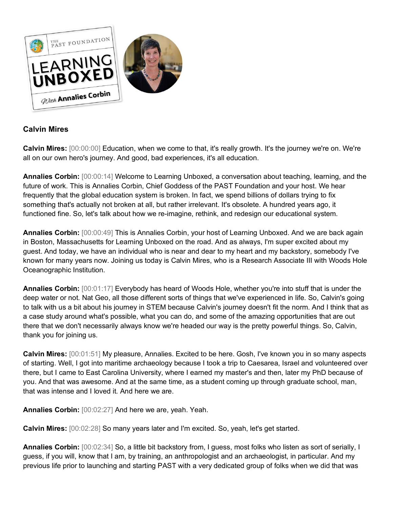

## **Calvin Mires**

**Calvin Mires:** [00:00:00] Education, when we come to that, it's really growth. It's the journey we're on. We're all on our own hero's journey. And good, bad experiences, it's all education.

**Annalies Corbin:** [00:00:14] Welcome to Learning Unboxed, a conversation about teaching, learning, and the future of work. This is Annalies Corbin, Chief Goddess of the PAST Foundation and your host. We hear frequently that the global education system is broken. In fact, we spend billions of dollars trying to fix something that's actually not broken at all, but rather irrelevant. It's obsolete. A hundred years ago, it functioned fine. So, let's talk about how we re-imagine, rethink, and redesign our educational system.

**Annalies Corbin:** [00:00:49] This is Annalies Corbin, your host of Learning Unboxed. And we are back again in Boston, Massachusetts for Learning Unboxed on the road. And as always, I'm super excited about my guest. And today, we have an individual who is near and dear to my heart and my backstory, somebody I've known for many years now. Joining us today is Calvin Mires, who is a Research Associate III with Woods Hole Oceanographic Institution.

**Annalies Corbin:** [00:01:17] Everybody has heard of Woods Hole, whether you're into stuff that is under the deep water or not. Nat Geo, all those different sorts of things that we've experienced in life. So, Calvin's going to talk with us a bit about his journey in STEM because Calvin's journey doesn't fit the norm. And I think that as a case study around what's possible, what you can do, and some of the amazing opportunities that are out there that we don't necessarily always know we're headed our way is the pretty powerful things. So, Calvin, thank you for joining us.

**Calvin Mires:** [00:01:51] My pleasure, Annalies. Excited to be here. Gosh, I've known you in so many aspects of starting. Well, I got into maritime archaeology because I took a trip to Caesarea, Israel and volunteered over there, but I came to East Carolina University, where I earned my master's and then, later my PhD because of you. And that was awesome. And at the same time, as a student coming up through graduate school, man, that was intense and I loved it. And here we are.

**Annalies Corbin:** [00:02:27] And here we are, yeah. Yeah.

**Calvin Mires:** [00:02:28] So many years later and I'm excited. So, yeah, let's get started.

**Annalies Corbin:** [00:02:34] So, a little bit backstory from, I guess, most folks who listen as sort of serially, I guess, if you will, know that I am, by training, an anthropologist and an archaeologist, in particular. And my previous life prior to launching and starting PAST with a very dedicated group of folks when we did that was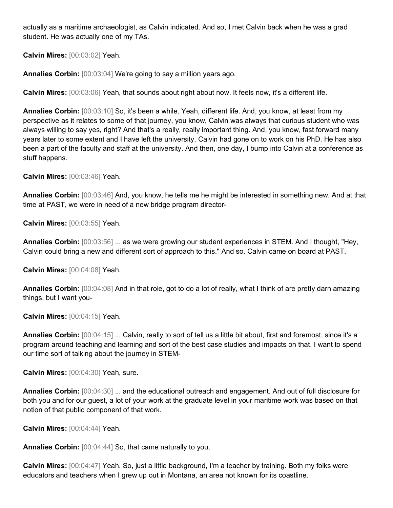actually as a maritime archaeologist, as Calvin indicated. And so, I met Calvin back when he was a grad student. He was actually one of my TAs.

**Calvin Mires:** [00:03:02] Yeah.

**Annalies Corbin:** [00:03:04] We're going to say a million years ago.

**Calvin Mires:** [00:03:06] Yeah, that sounds about right about now. It feels now, it's a different life.

**Annalies Corbin:** [00:03:10] So, it's been a while. Yeah, different life. And, you know, at least from my perspective as it relates to some of that journey, you know, Calvin was always that curious student who was always willing to say yes, right? And that's a really, really important thing. And, you know, fast forward many years later to some extent and I have left the university, Calvin had gone on to work on his PhD. He has also been a part of the faculty and staff at the university. And then, one day, I bump into Calvin at a conference as stuff happens.

**Calvin Mires:** [00:03:46] Yeah.

**Annalies Corbin:** [00:03:46] And, you know, he tells me he might be interested in something new. And at that time at PAST, we were in need of a new bridge program director-

**Calvin Mires:** [00:03:55] Yeah.

**Annalies Corbin:** [00:03:56] ... as we were growing our student experiences in STEM. And I thought, "Hey, Calvin could bring a new and different sort of approach to this." And so, Calvin came on board at PAST.

**Calvin Mires:** [00:04:08] Yeah.

**Annalies Corbin:** [00:04:08] And in that role, got to do a lot of really, what I think of are pretty darn amazing things, but I want you-

**Calvin Mires:** [00:04:15] Yeah.

**Annalies Corbin:** [00:04:15] ... Calvin, really to sort of tell us a little bit about, first and foremost, since it's a program around teaching and learning and sort of the best case studies and impacts on that, I want to spend our time sort of talking about the journey in STEM-

**Calvin Mires:** [00:04:30] Yeah, sure.

**Annalies Corbin:** [00:04:30] ... and the educational outreach and engagement. And out of full disclosure for both you and for our guest, a lot of your work at the graduate level in your maritime work was based on that notion of that public component of that work.

**Calvin Mires:** [00:04:44] Yeah.

**Annalies Corbin:** [00:04:44] So, that came naturally to you.

**Calvin Mires:** [00:04:47] Yeah. So, just a little background, I'm a teacher by training. Both my folks were educators and teachers when I grew up out in Montana, an area not known for its coastline.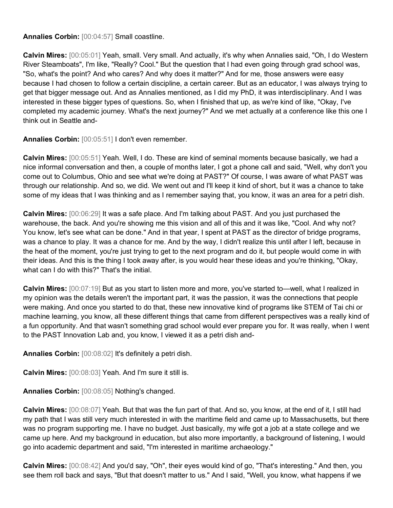## **Annalies Corbin:** [00:04:57] Small coastline.

**Calvin Mires:** [00:05:01] Yeah, small. Very small. And actually, it's why when Annalies said, "Oh, I do Western River Steamboats", I'm like, "Really? Cool." But the question that I had even going through grad school was, "So, what's the point? And who cares? And why does it matter?" And for me, those answers were easy because I had chosen to follow a certain discipline, a certain career. But as an educator, I was always trying to get that bigger message out. And as Annalies mentioned, as I did my PhD, it was interdisciplinary. And I was interested in these bigger types of questions. So, when I finished that up, as we're kind of like, "Okay, I've completed my academic journey. What's the next journey?" And we met actually at a conference like this one I think out in Seattle and-

**Annalies Corbin:** [00:05:51] I don't even remember.

**Calvin Mires:** [00:05:51] Yeah. Well, I do. These are kind of seminal moments because basically, we had a nice informal conversation and then, a couple of months later, I got a phone call and said, "Well, why don't you come out to Columbus, Ohio and see what we're doing at PAST?" Of course, I was aware of what PAST was through our relationship. And so, we did. We went out and I'll keep it kind of short, but it was a chance to take some of my ideas that I was thinking and as I remember saying that, you know, it was an area for a petri dish.

**Calvin Mires:** [00:06:29] It was a safe place. And I'm talking about PAST. And you just purchased the warehouse, the back. And you're showing me this vision and all of this and it was like, "Cool. And why not? You know, let's see what can be done." And in that year, I spent at PAST as the director of bridge programs, was a chance to play. It was a chance for me. And by the way, I didn't realize this until after I left, because in the heat of the moment, you're just trying to get to the next program and do it, but people would come in with their ideas. And this is the thing I took away after, is you would hear these ideas and you're thinking, "Okay, what can I do with this?" That's the initial.

**Calvin Mires:** [00:07:19] But as you start to listen more and more, you've started to—well, what I realized in my opinion was the details weren't the important part, it was the passion, it was the connections that people were making. And once you started to do that, these new innovative kind of programs like STEM of Tai chi or machine learning, you know, all these different things that came from different perspectives was a really kind of a fun opportunity. And that wasn't something grad school would ever prepare you for. It was really, when I went to the PAST Innovation Lab and, you know, I viewed it as a petri dish and-

**Annalies Corbin:** [00:08:02] It's definitely a petri dish.

**Calvin Mires:** [00:08:03] Yeah. And I'm sure it still is.

**Annalies Corbin:** [00:08:05] Nothing's changed.

**Calvin Mires:** [00:08:07] Yeah. But that was the fun part of that. And so, you know, at the end of it, I still had my path that I was still very much interested in with the maritime field and came up to Massachusetts, but there was no program supporting me. I have no budget. Just basically, my wife got a job at a state college and we came up here. And my background in education, but also more importantly, a background of listening, I would go into academic department and said, "I'm interested in maritime archaeology."

**Calvin Mires:** [00:08:42] And you'd say, "Oh", their eyes would kind of go, "That's interesting." And then, you see them roll back and says, "But that doesn't matter to us." And I said, "Well, you know, what happens if we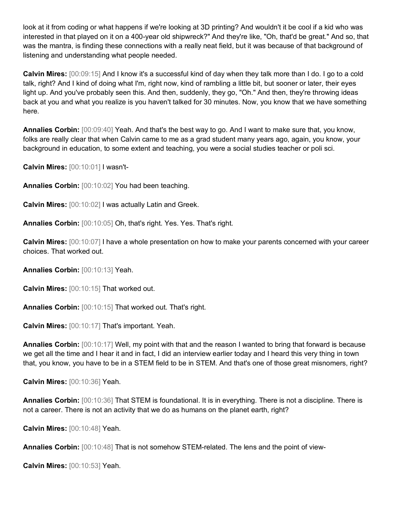look at it from coding or what happens if we're looking at 3D printing? And wouldn't it be cool if a kid who was interested in that played on it on a 400-year old shipwreck?" And they're like, "Oh, that'd be great." And so, that was the mantra, is finding these connections with a really neat field, but it was because of that background of listening and understanding what people needed.

**Calvin Mires:** [00:09:15] And I know it's a successful kind of day when they talk more than I do. I go to a cold talk, right? And I kind of doing what I'm, right now, kind of rambling a little bit, but sooner or later, their eyes light up. And you've probably seen this. And then, suddenly, they go, "Oh." And then, they're throwing ideas back at you and what you realize is you haven't talked for 30 minutes. Now, you know that we have something here.

**Annalies Corbin:** [00:09:40] Yeah. And that's the best way to go. And I want to make sure that, you know, folks are really clear that when Calvin came to me as a grad student many years ago, again, you know, your background in education, to some extent and teaching, you were a social studies teacher or poli sci.

**Calvin Mires:** [00:10:01] I wasn't-

**Annalies Corbin:** [00:10:02] You had been teaching.

**Calvin Mires:** [00:10:02] I was actually Latin and Greek.

**Annalies Corbin:** [00:10:05] Oh, that's right. Yes. Yes. That's right.

**Calvin Mires:** [00:10:07] I have a whole presentation on how to make your parents concerned with your career choices. That worked out.

**Annalies Corbin:** [00:10:13] Yeah.

**Calvin Mires:** [00:10:15] That worked out.

**Annalies Corbin:** [00:10:15] That worked out. That's right.

**Calvin Mires:** [00:10:17] That's important. Yeah.

**Annalies Corbin:** [00:10:17] Well, my point with that and the reason I wanted to bring that forward is because we get all the time and I hear it and in fact, I did an interview earlier today and I heard this very thing in town that, you know, you have to be in a STEM field to be in STEM. And that's one of those great misnomers, right?

**Calvin Mires:** [00:10:36] Yeah.

**Annalies Corbin:** [00:10:36] That STEM is foundational. It is in everything. There is not a discipline. There is not a career. There is not an activity that we do as humans on the planet earth, right?

**Calvin Mires:** [00:10:48] Yeah.

**Annalies Corbin:** [00:10:48] That is not somehow STEM-related. The lens and the point of view-

**Calvin Mires:** [00:10:53] Yeah.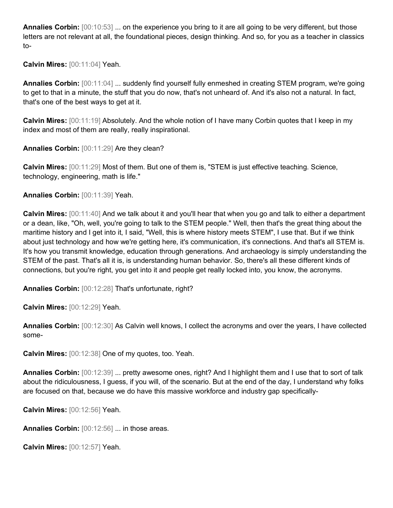**Annalies Corbin:** [00:10:53] ... on the experience you bring to it are all going to be very different, but those letters are not relevant at all, the foundational pieces, design thinking. And so, for you as a teacher in classics to-

**Calvin Mires:** [00:11:04] Yeah.

**Annalies Corbin:** [00:11:04] ... suddenly find yourself fully enmeshed in creating STEM program, we're going to get to that in a minute, the stuff that you do now, that's not unheard of. And it's also not a natural. In fact, that's one of the best ways to get at it.

**Calvin Mires:** [00:11:19] Absolutely. And the whole notion of I have many Corbin quotes that I keep in my index and most of them are really, really inspirational.

**Annalies Corbin:** [00:11:29] Are they clean?

**Calvin Mires:** [00:11:29] Most of them. But one of them is, "STEM is just effective teaching. Science, technology, engineering, math is life."

**Annalies Corbin:** [00:11:39] Yeah.

**Calvin Mires:** [00:11:40] And we talk about it and you'll hear that when you go and talk to either a department or a dean, like, "Oh, well, you're going to talk to the STEM people." Well, then that's the great thing about the maritime history and I get into it, I said, "Well, this is where history meets STEM", I use that. But if we think about just technology and how we're getting here, it's communication, it's connections. And that's all STEM is. It's how you transmit knowledge, education through generations. And archaeology is simply understanding the STEM of the past. That's all it is, is understanding human behavior. So, there's all these different kinds of connections, but you're right, you get into it and people get really locked into, you know, the acronyms.

**Annalies Corbin:** [00:12:28] That's unfortunate, right?

**Calvin Mires:** [00:12:29] Yeah.

**Annalies Corbin:** [00:12:30] As Calvin well knows, I collect the acronyms and over the years, I have collected some-

**Calvin Mires:** [00:12:38] One of my quotes, too. Yeah.

**Annalies Corbin:** [00:12:39] ... pretty awesome ones, right? And I highlight them and I use that to sort of talk about the ridiculousness, I guess, if you will, of the scenario. But at the end of the day, I understand why folks are focused on that, because we do have this massive workforce and industry gap specifically-

**Calvin Mires:** [00:12:56] Yeah.

**Annalies Corbin:** [00:12:56] ... in those areas.

**Calvin Mires:** [00:12:57] Yeah.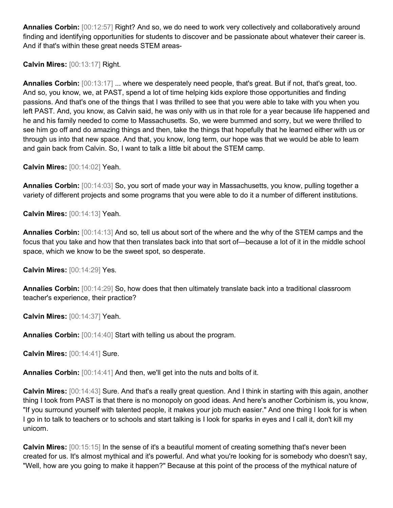**Annalies Corbin:** [00:12:57] Right? And so, we do need to work very collectively and collaboratively around finding and identifying opportunities for students to discover and be passionate about whatever their career is. And if that's within these great needs STEM areas-

**Calvin Mires:** [00:13:17] Right.

**Annalies Corbin:** [00:13:17] ... where we desperately need people, that's great. But if not, that's great, too. And so, you know, we, at PAST, spend a lot of time helping kids explore those opportunities and finding passions. And that's one of the things that I was thrilled to see that you were able to take with you when you left PAST. And, you know, as Calvin said, he was only with us in that role for a year because life happened and he and his family needed to come to Massachusetts. So, we were bummed and sorry, but we were thrilled to see him go off and do amazing things and then, take the things that hopefully that he learned either with us or through us into that new space. And that, you know, long term, our hope was that we would be able to learn and gain back from Calvin. So, I want to talk a little bit about the STEM camp.

**Calvin Mires:** [00:14:02] Yeah.

**Annalies Corbin:** [00:14:03] So, you sort of made your way in Massachusetts, you know, pulling together a variety of different projects and some programs that you were able to do it a number of different institutions.

**Calvin Mires:** [00:14:13] Yeah.

**Annalies Corbin:** [00:14:13] And so, tell us about sort of the where and the why of the STEM camps and the focus that you take and how that then translates back into that sort of—because a lot of it in the middle school space, which we know to be the sweet spot, so desperate.

**Calvin Mires:** [00:14:29] Yes.

**Annalies Corbin:** [00:14:29] So, how does that then ultimately translate back into a traditional classroom teacher's experience, their practice?

**Calvin Mires:** [00:14:37] Yeah.

**Annalies Corbin:** [00:14:40] Start with telling us about the program.

**Calvin Mires:** [00:14:41] Sure.

**Annalies Corbin:** [00:14:41] And then, we'll get into the nuts and bolts of it.

**Calvin Mires:** [00:14:43] Sure. And that's a really great question. And I think in starting with this again, another thing I took from PAST is that there is no monopoly on good ideas. And here's another Corbinism is, you know, "If you surround yourself with talented people, it makes your job much easier." And one thing I look for is when I go in to talk to teachers or to schools and start talking is I look for sparks in eyes and I call it, don't kill my unicorn.

**Calvin Mires:** [00:15:15] In the sense of it's a beautiful moment of creating something that's never been created for us. It's almost mythical and it's powerful. And what you're looking for is somebody who doesn't say, "Well, how are you going to make it happen?" Because at this point of the process of the mythical nature of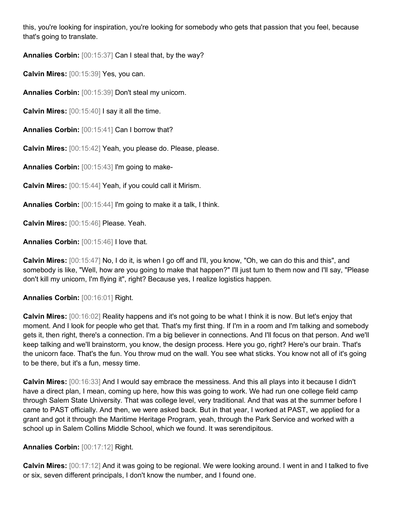this, you're looking for inspiration, you're looking for somebody who gets that passion that you feel, because that's going to translate.

**Annalies Corbin:** [00:15:37] Can I steal that, by the way?

**Calvin Mires:** [00:15:39] Yes, you can.

**Annalies Corbin:** [00:15:39] Don't steal my unicorn.

**Calvin Mires:** [00:15:40] I say it all the time.

**Annalies Corbin:** [00:15:41] Can I borrow that?

**Calvin Mires:** [00:15:42] Yeah, you please do. Please, please.

**Annalies Corbin:** [00:15:43] I'm going to make-

**Calvin Mires:** [00:15:44] Yeah, if you could call it Mirism.

**Annalies Corbin:** [00:15:44] I'm going to make it a talk, I think.

**Calvin Mires:** [00:15:46] Please. Yeah.

**Annalies Corbin:** [00:15:46] I love that.

**Calvin Mires:** [00:15:47] No, I do it, is when I go off and I'll, you know, "Oh, we can do this and this", and somebody is like, "Well, how are you going to make that happen?" I'll just turn to them now and I'll say, "Please don't kill my unicorn, I'm flying it", right? Because yes, I realize logistics happen.

## **Annalies Corbin:** [00:16:01] Right.

**Calvin Mires:** [00:16:02] Reality happens and it's not going to be what I think it is now. But let's enjoy that moment. And I look for people who get that. That's my first thing. If I'm in a room and I'm talking and somebody gets it, then right, there's a connection. I'm a big believer in connections. And I'll focus on that person. And we'll keep talking and we'll brainstorm, you know, the design process. Here you go, right? Here's our brain. That's the unicorn face. That's the fun. You throw mud on the wall. You see what sticks. You know not all of it's going to be there, but it's a fun, messy time.

**Calvin Mires:** [00:16:33] And I would say embrace the messiness. And this all plays into it because I didn't have a direct plan, I mean, coming up here, how this was going to work. We had run one college field camp through Salem State University. That was college level, very traditional. And that was at the summer before I came to PAST officially. And then, we were asked back. But in that year, I worked at PAST, we applied for a grant and got it through the Maritime Heritage Program, yeah, through the Park Service and worked with a school up in Salem Collins Middle School, which we found. It was serendipitous.

## **Annalies Corbin:** [00:17:12] Right.

**Calvin Mires:** [00:17:12] And it was going to be regional. We were looking around. I went in and I talked to five or six, seven different principals, I don't know the number, and I found one.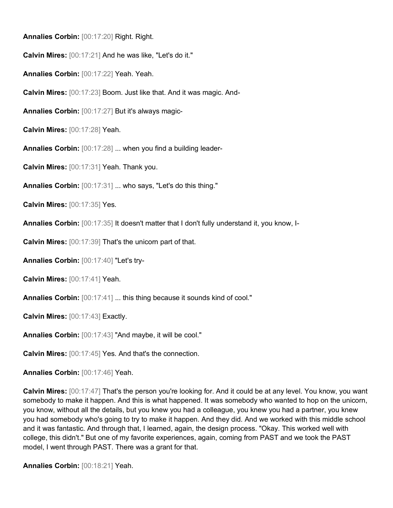**Annalies Corbin:** [00:17:20] Right. Right.

**Calvin Mires:** [00:17:21] And he was like, "Let's do it."

**Annalies Corbin:** [00:17:22] Yeah. Yeah.

**Calvin Mires:** [00:17:23] Boom. Just like that. And it was magic. And-

**Annalies Corbin:** [00:17:27] But it's always magic-

**Calvin Mires:** [00:17:28] Yeah.

**Annalies Corbin:** [00:17:28] ... when you find a building leader-

**Calvin Mires:** [00:17:31] Yeah. Thank you.

**Annalies Corbin:** [00:17:31] ... who says, "Let's do this thing."

**Calvin Mires:** [00:17:35] Yes.

**Annalies Corbin:** [00:17:35] It doesn't matter that I don't fully understand it, you know, I-

**Calvin Mires:** [00:17:39] That's the unicorn part of that.

**Annalies Corbin:** [00:17:40] "Let's try-

**Calvin Mires:** [00:17:41] Yeah.

**Annalies Corbin:** [00:17:41] ... this thing because it sounds kind of cool."

**Calvin Mires:** [00:17:43] Exactly.

**Annalies Corbin:** [00:17:43] "And maybe, it will be cool."

**Calvin Mires:** [00:17:45] Yes. And that's the connection.

**Annalies Corbin:** [00:17:46] Yeah.

**Calvin Mires:** [00:17:47] That's the person you're looking for. And it could be at any level. You know, you want somebody to make it happen. And this is what happened. It was somebody who wanted to hop on the unicorn, you know, without all the details, but you knew you had a colleague, you knew you had a partner, you knew you had somebody who's going to try to make it happen. And they did. And we worked with this middle school and it was fantastic. And through that, I learned, again, the design process. "Okay. This worked well with college, this didn't." But one of my favorite experiences, again, coming from PAST and we took the PAST model, I went through PAST. There was a grant for that.

**Annalies Corbin:** [00:18:21] Yeah.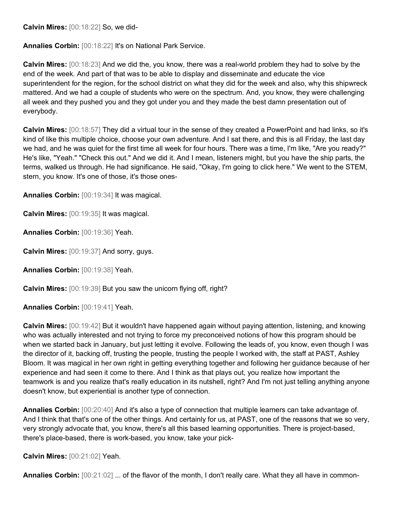**Calvin Mires:** [00:18:22] So, we did-

**Annalies Corbin:** [00:18:22] It's on National Park Service.

**Calvin Mires:** [00:18:23] And we did the, you know, there was a real-world problem they had to solve by the end of the week. And part of that was to be able to display and disseminate and educate the vice superintendent for the region, for the school district on what they did for the week and also, why this shipwreck mattered. And we had a couple of students who were on the spectrum. And, you know, they were challenging all week and they pushed you and they got under you and they made the best damn presentation out of everybody.

**Calvin Mires:** [00:18:57] They did a virtual tour in the sense of they created a PowerPoint and had links, so it's kind of like this multiple choice, choose your own adventure. And I sat there, and this is all Friday, the last day we had, and he was quiet for the first time all week for four hours. There was a time, I'm like, "Are you ready?" He's like, "Yeah." "Check this out." And we did it. And I mean, listeners might, but you have the ship parts, the terms, walked us through. He had significance. He said, "Okay, I'm going to click here." We went to the STEM, stern, you know. It's one of those, it's those ones-

**Annalies Corbin:** [00:19:34] It was magical.

**Calvin Mires:** [00:19:35] It was magical.

**Annalies Corbin:** [00:19:36] Yeah.

**Calvin Mires:** [00:19:37] And sorry, guys.

**Annalies Corbin:** [00:19:38] Yeah.

**Calvin Mires:** [00:19:39] But you saw the unicorn flying off, right?

**Annalies Corbin:** [00:19:41] Yeah.

**Calvin Mires:** [00:19:42] But it wouldn't have happened again without paying attention, listening, and knowing who was actually interested and not trying to force my preconceived notions of how this program should be when we started back in January, but just letting it evolve. Following the leads of, you know, even though I was the director of it, backing off, trusting the people, trusting the people I worked with, the staff at PAST, Ashley Bloom. It was magical in her own right in getting everything together and following her guidance because of her experience and had seen it come to there. And I think as that plays out, you realize how important the teamwork is and you realize that's really education in its nutshell, right? And I'm not just telling anything anyone doesn't know, but experiential is another type of connection.

**Annalies Corbin:** [00:20:40] And it's also a type of connection that multiple learners can take advantage of. And I think that that's one of the other things. And certainly for us, at PAST, one of the reasons that we so very, very strongly advocate that, you know, there's all this based learning opportunities. There is project-based, there's place-based, there is work-based, you know, take your pick-

**Calvin Mires:** [00:21:02] Yeah.

**Annalies Corbin:**  $[00:21:02]$  ... of the flavor of the month, I don't really care. What they all have in common-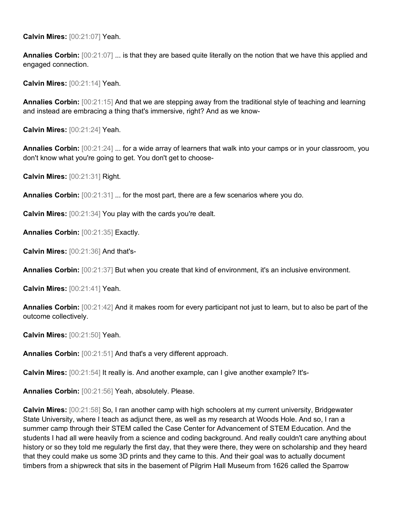**Calvin Mires:** [00:21:07] Yeah.

**Annalies Corbin:** [00:21:07] ... is that they are based quite literally on the notion that we have this applied and engaged connection.

**Calvin Mires:** [00:21:14] Yeah.

**Annalies Corbin:** [00:21:15] And that we are stepping away from the traditional style of teaching and learning and instead are embracing a thing that's immersive, right? And as we know-

**Calvin Mires:** [00:21:24] Yeah.

**Annalies Corbin:** [00:21:24] ... for a wide array of learners that walk into your camps or in your classroom, you don't know what you're going to get. You don't get to choose-

**Calvin Mires:** [00:21:31] Right.

**Annalies Corbin:** [00:21:31] ... for the most part, there are a few scenarios where you do.

**Calvin Mires:** [00:21:34] You play with the cards you're dealt.

**Annalies Corbin:** [00:21:35] Exactly.

**Calvin Mires:** [00:21:36] And that's-

**Annalies Corbin:** [00:21:37] But when you create that kind of environment, it's an inclusive environment.

**Calvin Mires:** [00:21:41] Yeah.

**Annalies Corbin:** [00:21:42] And it makes room for every participant not just to learn, but to also be part of the outcome collectively.

**Calvin Mires:** [00:21:50] Yeah.

**Annalies Corbin:** [00:21:51] And that's a very different approach.

**Calvin Mires:** [00:21:54] It really is. And another example, can I give another example? It's-

**Annalies Corbin:** [00:21:56] Yeah, absolutely. Please.

**Calvin Mires:** [00:21:58] So, I ran another camp with high schoolers at my current university, Bridgewater State University, where I teach as adjunct there, as well as my research at Woods Hole. And so, I ran a summer camp through their STEM called the Case Center for Advancement of STEM Education. And the students I had all were heavily from a science and coding background. And really couldn't care anything about history or so they told me regularly the first day, that they were there, they were on scholarship and they heard that they could make us some 3D prints and they came to this. And their goal was to actually document timbers from a shipwreck that sits in the basement of Pilgrim Hall Museum from 1626 called the Sparrow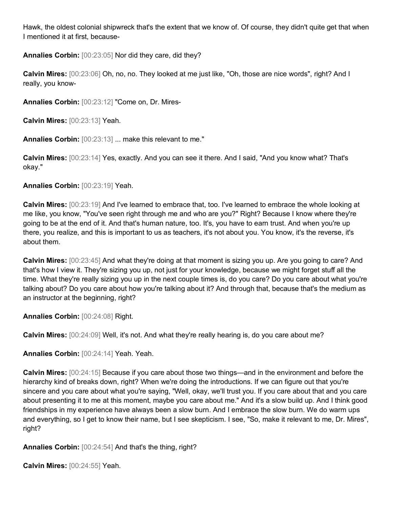Hawk, the oldest colonial shipwreck that's the extent that we know of. Of course, they didn't quite get that when I mentioned it at first, because-

**Annalies Corbin:** [00:23:05] Nor did they care, did they?

**Calvin Mires:** [00:23:06] Oh, no, no. They looked at me just like, "Oh, those are nice words", right? And I really, you know-

**Annalies Corbin:** [00:23:12] "Come on, Dr. Mires-

**Calvin Mires:** [00:23:13] Yeah.

**Annalies Corbin:** [00:23:13] ... make this relevant to me."

**Calvin Mires:** [00:23:14] Yes, exactly. And you can see it there. And I said, "And you know what? That's okay."

**Annalies Corbin:** [00:23:19] Yeah.

**Calvin Mires:** [00:23:19] And I've learned to embrace that, too. I've learned to embrace the whole looking at me like, you know, "You've seen right through me and who are you?" Right? Because I know where they're going to be at the end of it. And that's human nature, too. It's, you have to earn trust. And when you're up there, you realize, and this is important to us as teachers, it's not about you. You know, it's the reverse, it's about them.

**Calvin Mires:** [00:23:45] And what they're doing at that moment is sizing you up. Are you going to care? And that's how I view it. They're sizing you up, not just for your knowledge, because we might forget stuff all the time. What they're really sizing you up in the next couple times is, do you care? Do you care about what you're talking about? Do you care about how you're talking about it? And through that, because that's the medium as an instructor at the beginning, right?

**Annalies Corbin:** [00:24:08] Right.

**Calvin Mires:** [00:24:09] Well, it's not. And what they're really hearing is, do you care about me?

**Annalies Corbin:** [00:24:14] Yeah. Yeah.

**Calvin Mires:** [00:24:15] Because if you care about those two things—and in the environment and before the hierarchy kind of breaks down, right? When we're doing the introductions. If we can figure out that you're sincere and you care about what you're saying, "Well, okay, we'll trust you. If you care about that and you care about presenting it to me at this moment, maybe you care about me." And it's a slow build up. And I think good friendships in my experience have always been a slow burn. And I embrace the slow burn. We do warm ups and everything, so I get to know their name, but I see skepticism. I see, "So, make it relevant to me, Dr. Mires", right?

**Annalies Corbin:** [00:24:54] And that's the thing, right?

**Calvin Mires:** [00:24:55] Yeah.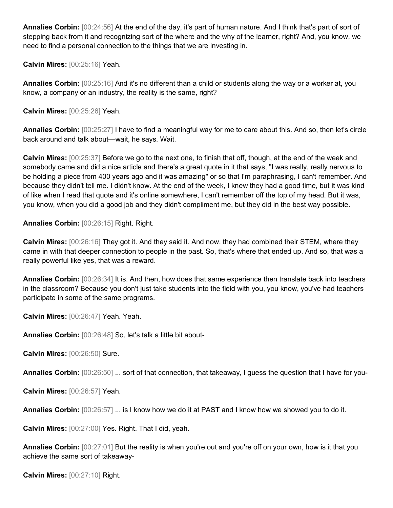**Annalies Corbin:** [00:24:56] At the end of the day, it's part of human nature. And I think that's part of sort of stepping back from it and recognizing sort of the where and the why of the learner, right? And, you know, we need to find a personal connection to the things that we are investing in.

**Calvin Mires:** [00:25:16] Yeah.

**Annalies Corbin:** [00:25:16] And it's no different than a child or students along the way or a worker at, you know, a company or an industry, the reality is the same, right?

**Calvin Mires:** [00:25:26] Yeah.

**Annalies Corbin:** [00:25:27] I have to find a meaningful way for me to care about this. And so, then let's circle back around and talk about—wait, he says. Wait.

**Calvin Mires:** [00:25:37] Before we go to the next one, to finish that off, though, at the end of the week and somebody came and did a nice article and there's a great quote in it that says, "I was really, really nervous to be holding a piece from 400 years ago and it was amazing" or so that I'm paraphrasing, I can't remember. And because they didn't tell me. I didn't know. At the end of the week, I knew they had a good time, but it was kind of like when I read that quote and it's online somewhere, I can't remember off the top of my head. But it was, you know, when you did a good job and they didn't compliment me, but they did in the best way possible.

**Annalies Corbin:** [00:26:15] Right. Right.

**Calvin Mires:** [00:26:16] They got it. And they said it. And now, they had combined their STEM, where they came in with that deeper connection to people in the past. So, that's where that ended up. And so, that was a really powerful like yes, that was a reward.

**Annalies Corbin:** [00:26:34] It is. And then, how does that same experience then translate back into teachers in the classroom? Because you don't just take students into the field with you, you know, you've had teachers participate in some of the same programs.

**Calvin Mires:** [00:26:47] Yeah. Yeah.

**Annalies Corbin:** [00:26:48] So, let's talk a little bit about-

**Calvin Mires:** [00:26:50] Sure.

**Annalies Corbin:** [00:26:50] ... sort of that connection, that takeaway, I guess the question that I have for you-

**Calvin Mires:** [00:26:57] Yeah.

**Annalies Corbin:** [00:26:57] ... is I know how we do it at PAST and I know how we showed you to do it.

**Calvin Mires:** [00:27:00] Yes. Right. That I did, yeah.

**Annalies Corbin:**  $[00:27:01]$  But the reality is when you're out and you're off on your own, how is it that you achieve the same sort of takeaway-

**Calvin Mires:** [00:27:10] Right.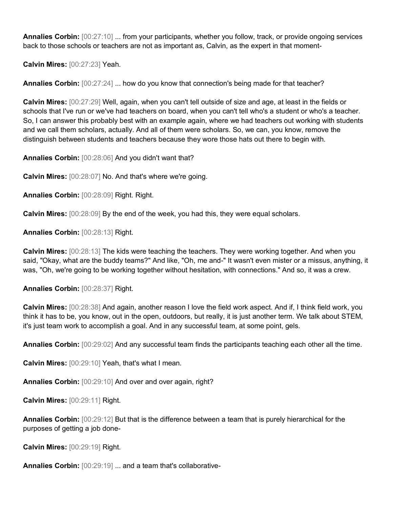**Annalies Corbin:** [00:27:10] ... from your participants, whether you follow, track, or provide ongoing services back to those schools or teachers are not as important as, Calvin, as the expert in that moment-

**Calvin Mires:** [00:27:23] Yeah.

**Annalies Corbin:** [00:27:24] ... how do you know that connection's being made for that teacher?

**Calvin Mires:** [00:27:29] Well, again, when you can't tell outside of size and age, at least in the fields or schools that I've run or we've had teachers on board, when you can't tell who's a student or who's a teacher. So, I can answer this probably best with an example again, where we had teachers out working with students and we call them scholars, actually. And all of them were scholars. So, we can, you know, remove the distinguish between students and teachers because they wore those hats out there to begin with.

**Annalies Corbin:** [00:28:06] And you didn't want that?

**Calvin Mires:** [00:28:07] No. And that's where we're going.

**Annalies Corbin:** [00:28:09] Right. Right.

**Calvin Mires:** [00:28:09] By the end of the week, you had this, they were equal scholars.

**Annalies Corbin:** [00:28:13] Right.

**Calvin Mires:** [00:28:13] The kids were teaching the teachers. They were working together. And when you said, "Okay, what are the buddy teams?" And like, "Oh, me and-" It wasn't even mister or a missus, anything, it was, "Oh, we're going to be working together without hesitation, with connections." And so, it was a crew.

**Annalies Corbin:** [00:28:37] Right.

**Calvin Mires:** [00:28:38] And again, another reason I love the field work aspect. And if, I think field work, you think it has to be, you know, out in the open, outdoors, but really, it is just another term. We talk about STEM, it's just team work to accomplish a goal. And in any successful team, at some point, gels.

**Annalies Corbin:** [00:29:02] And any successful team finds the participants teaching each other all the time.

**Calvin Mires:** [00:29:10] Yeah, that's what I mean.

**Annalies Corbin:** [00:29:10] And over and over again, right?

**Calvin Mires:** [00:29:11] Right.

**Annalies Corbin:** [00:29:12] But that is the difference between a team that is purely hierarchical for the purposes of getting a job done-

**Calvin Mires:** [00:29:19] Right.

**Annalies Corbin:** [00:29:19] ... and a team that's collaborative-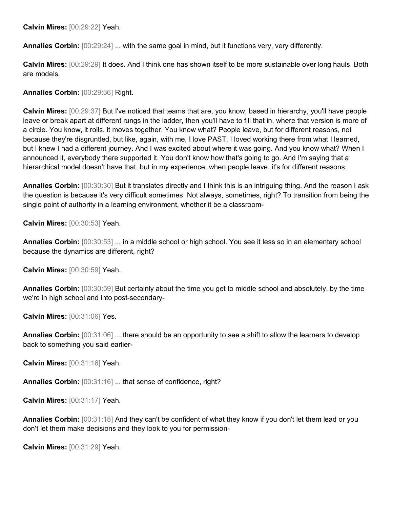**Calvin Mires:** [00:29:22] Yeah.

**Annalies Corbin:** [00:29:24] ... with the same goal in mind, but it functions very, very differently.

**Calvin Mires:** [00:29:29] It does. And I think one has shown itself to be more sustainable over long hauls. Both are models.

**Annalies Corbin:** [00:29:36] Right.

**Calvin Mires:** [00:29:37] But I've noticed that teams that are, you know, based in hierarchy, you'll have people leave or break apart at different rungs in the ladder, then you'll have to fill that in, where that version is more of a circle. You know, it rolls, it moves together. You know what? People leave, but for different reasons, not because they're disgruntled, but like, again, with me, I love PAST. I loved working there from what I learned, but I knew I had a different journey. And I was excited about where it was going. And you know what? When I announced it, everybody there supported it. You don't know how that's going to go. And I'm saying that a hierarchical model doesn't have that, but in my experience, when people leave, it's for different reasons.

**Annalies Corbin:** [00:30:30] But it translates directly and I think this is an intriguing thing. And the reason I ask the question is because it's very difficult sometimes. Not always, sometimes, right? To transition from being the single point of authority in a learning environment, whether it be a classroom-

**Calvin Mires:** [00:30:53] Yeah.

**Annalies Corbin:** [00:30:53] ... in a middle school or high school. You see it less so in an elementary school because the dynamics are different, right?

**Calvin Mires:** [00:30:59] Yeah.

**Annalies Corbin:** [00:30:59] But certainly about the time you get to middle school and absolutely, by the time we're in high school and into post-secondary-

**Calvin Mires:** [00:31:06] Yes.

**Annalies Corbin:** [00:31:06] ... there should be an opportunity to see a shift to allow the learners to develop back to something you said earlier-

**Calvin Mires:** [00:31:16] Yeah.

**Annalies Corbin:** [00:31:16] ... that sense of confidence, right?

**Calvin Mires:** [00:31:17] Yeah.

**Annalies Corbin:** [00:31:18] And they can't be confident of what they know if you don't let them lead or you don't let them make decisions and they look to you for permission-

**Calvin Mires:** [00:31:29] Yeah.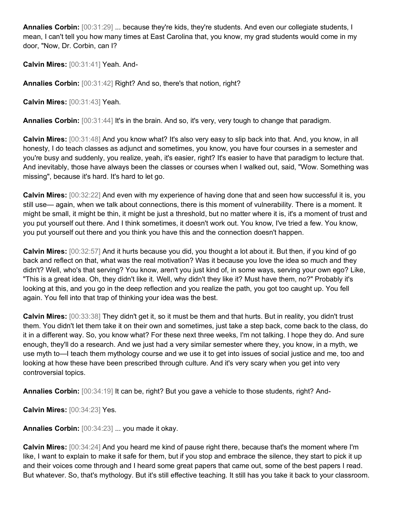**Annalies Corbin:** [00:31:29] ... because they're kids, they're students. And even our collegiate students, I mean, I can't tell you how many times at East Carolina that, you know, my grad students would come in my door, "Now, Dr. Corbin, can I?

**Calvin Mires:** [00:31:41] Yeah. And-

**Annalies Corbin:** [00:31:42] Right? And so, there's that notion, right?

**Calvin Mires:** [00:31:43] Yeah.

**Annalies Corbin:** [00:31:44] It's in the brain. And so, it's very, very tough to change that paradigm.

**Calvin Mires:** [00:31:48] And you know what? It's also very easy to slip back into that. And, you know, in all honesty, I do teach classes as adjunct and sometimes, you know, you have four courses in a semester and you're busy and suddenly, you realize, yeah, it's easier, right? It's easier to have that paradigm to lecture that. And inevitably, those have always been the classes or courses when I walked out, said, "Wow. Something was missing", because it's hard. It's hard to let go.

**Calvin Mires:** [00:32:22] And even with my experience of having done that and seen how successful it is, you still use— again, when we talk about connections, there is this moment of vulnerability. There is a moment. It might be small, it might be thin, it might be just a threshold, but no matter where it is, it's a moment of trust and you put yourself out there. And I think sometimes, it doesn't work out. You know, I've tried a few. You know, you put yourself out there and you think you have this and the connection doesn't happen.

**Calvin Mires:** [00:32:57] And it hurts because you did, you thought a lot about it. But then, if you kind of go back and reflect on that, what was the real motivation? Was it because you love the idea so much and they didn't? Well, who's that serving? You know, aren't you just kind of, in some ways, serving your own ego? Like, "This is a great idea. Oh, they didn't like it. Well, why didn't they like it? Must have them, no?" Probably it's looking at this, and you go in the deep reflection and you realize the path, you got too caught up. You fell again. You fell into that trap of thinking your idea was the best.

**Calvin Mires:** [00:33:38] They didn't get it, so it must be them and that hurts. But in reality, you didn't trust them. You didn't let them take it on their own and sometimes, just take a step back, come back to the class, do it in a different way. So, you know what? For these next three weeks, I'm not talking. I hope they do. And sure enough, they'll do a research. And we just had a very similar semester where they, you know, in a myth, we use myth to—I teach them mythology course and we use it to get into issues of social justice and me, too and looking at how these have been prescribed through culture. And it's very scary when you get into very controversial topics.

**Annalies Corbin:** [00:34:19] It can be, right? But you gave a vehicle to those students, right? And-

**Calvin Mires:** [00:34:23] Yes.

**Annalies Corbin:** [00:34:23] ... you made it okay.

**Calvin Mires:** [00:34:24] And you heard me kind of pause right there, because that's the moment where I'm like, I want to explain to make it safe for them, but if you stop and embrace the silence, they start to pick it up and their voices come through and I heard some great papers that came out, some of the best papers I read. But whatever. So, that's mythology. But it's still effective teaching. It still has you take it back to your classroom.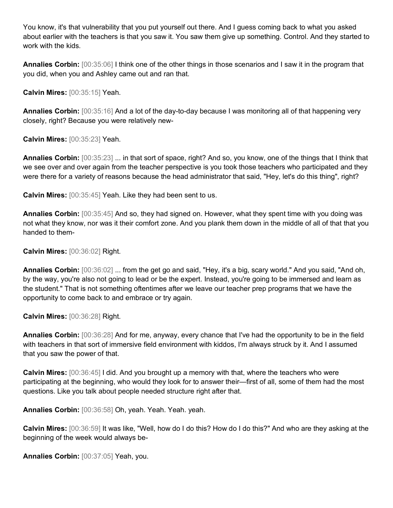You know, it's that vulnerability that you put yourself out there. And I guess coming back to what you asked about earlier with the teachers is that you saw it. You saw them give up something. Control. And they started to work with the kids.

**Annalies Corbin:** [00:35:06] I think one of the other things in those scenarios and I saw it in the program that you did, when you and Ashley came out and ran that.

**Calvin Mires:** [00:35:15] Yeah.

**Annalies Corbin:** [00:35:16] And a lot of the day-to-day because I was monitoring all of that happening very closely, right? Because you were relatively new-

**Calvin Mires:** [00:35:23] Yeah.

**Annalies Corbin:** [00:35:23] ... in that sort of space, right? And so, you know, one of the things that I think that we see over and over again from the teacher perspective is you took those teachers who participated and they were there for a variety of reasons because the head administrator that said, "Hey, let's do this thing", right?

**Calvin Mires:** [00:35:45] Yeah. Like they had been sent to us.

**Annalies Corbin:** [00:35:45] And so, they had signed on. However, what they spent time with you doing was not what they know, nor was it their comfort zone. And you plank them down in the middle of all of that that you handed to them-

**Calvin Mires:** [00:36:02] Right.

**Annalies Corbin:** [00:36:02] ... from the get go and said, "Hey, it's a big, scary world." And you said, "And oh, by the way, you're also not going to lead or be the expert. Instead, you're going to be immersed and learn as the student." That is not something oftentimes after we leave our teacher prep programs that we have the opportunity to come back to and embrace or try again.

**Calvin Mires:** [00:36:28] Right.

**Annalies Corbin:** [00:36:28] And for me, anyway, every chance that I've had the opportunity to be in the field with teachers in that sort of immersive field environment with kiddos, I'm always struck by it. And I assumed that you saw the power of that.

**Calvin Mires:** [00:36:45] I did. And you brought up a memory with that, where the teachers who were participating at the beginning, who would they look for to answer their—first of all, some of them had the most questions. Like you talk about people needed structure right after that.

**Annalies Corbin:** [00:36:58] Oh, yeah. Yeah. Yeah. yeah.

**Calvin Mires:** [00:36:59] It was like, "Well, how do I do this? How do I do this?" And who are they asking at the beginning of the week would always be-

**Annalies Corbin:** [00:37:05] Yeah, you.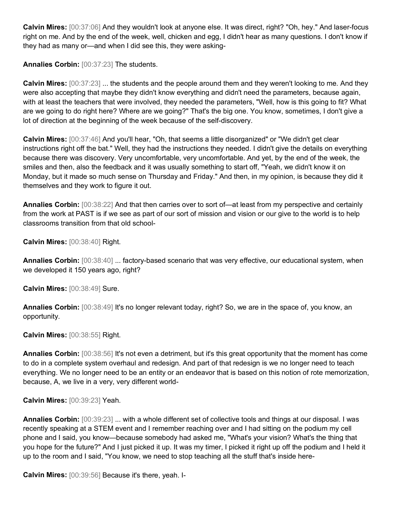**Calvin Mires:** [00:37:06] And they wouldn't look at anyone else. It was direct, right? "Oh, hey." And laser-focus right on me. And by the end of the week, well, chicken and egg, I didn't hear as many questions. I don't know if they had as many or—and when I did see this, they were asking-

**Annalies Corbin:** [00:37:23] The students.

**Calvin Mires:** [00:37:23] ... the students and the people around them and they weren't looking to me. And they were also accepting that maybe they didn't know everything and didn't need the parameters, because again, with at least the teachers that were involved, they needed the parameters, "Well, how is this going to fit? What are we going to do right here? Where are we going?" That's the big one. You know, sometimes, I don't give a lot of direction at the beginning of the week because of the self-discovery.

**Calvin Mires:** [00:37:46] And you'll hear, "Oh, that seems a little disorganized" or "We didn't get clear instructions right off the bat." Well, they had the instructions they needed. I didn't give the details on everything because there was discovery. Very uncomfortable, very uncomfortable. And yet, by the end of the week, the smiles and then, also the feedback and it was usually something to start off, "Yeah, we didn't know it on Monday, but it made so much sense on Thursday and Friday." And then, in my opinion, is because they did it themselves and they work to figure it out.

**Annalies Corbin:** [00:38:22] And that then carries over to sort of—at least from my perspective and certainly from the work at PAST is if we see as part of our sort of mission and vision or our give to the world is to help classrooms transition from that old school-

**Calvin Mires:** [00:38:40] Right.

**Annalies Corbin:** [00:38:40] ... factory-based scenario that was very effective, our educational system, when we developed it 150 years ago, right?

**Calvin Mires:** [00:38:49] Sure.

**Annalies Corbin:** [00:38:49] It's no longer relevant today, right? So, we are in the space of, you know, an opportunity.

**Calvin Mires:** [00:38:55] Right.

**Annalies Corbin:** [00:38:56] It's not even a detriment, but it's this great opportunity that the moment has come to do in a complete system overhaul and redesign. And part of that redesign is we no longer need to teach everything. We no longer need to be an entity or an endeavor that is based on this notion of rote memorization, because, A, we live in a very, very different world-

**Calvin Mires:** [00:39:23] Yeah.

**Annalies Corbin:** [00:39:23] ... with a whole different set of collective tools and things at our disposal. I was recently speaking at a STEM event and I remember reaching over and I had sitting on the podium my cell phone and I said, you know—because somebody had asked me, "What's your vision? What's the thing that you hope for the future?" And I just picked it up. It was my timer, I picked it right up off the podium and I held it up to the room and I said, "You know, we need to stop teaching all the stuff that's inside here-

**Calvin Mires:** [00:39:56] Because it's there, yeah. I-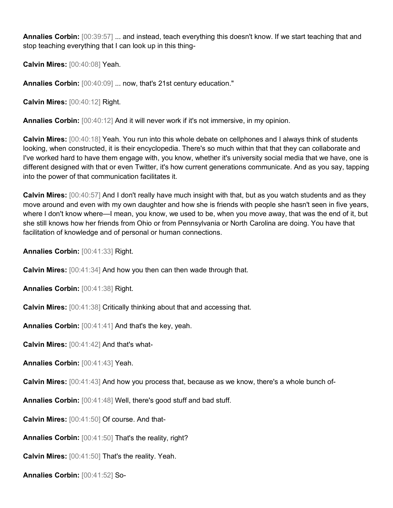**Annalies Corbin:** [00:39:57] ... and instead, teach everything this doesn't know. If we start teaching that and stop teaching everything that I can look up in this thing-

**Calvin Mires:** [00:40:08] Yeah.

**Annalies Corbin:** [00:40:09] ... now, that's 21st century education."

**Calvin Mires:** [00:40:12] Right.

**Annalies Corbin:** [00:40:12] And it will never work if it's not immersive, in my opinion.

**Calvin Mires:** [00:40:18] Yeah. You run into this whole debate on cellphones and I always think of students looking, when constructed, it is their encyclopedia. There's so much within that that they can collaborate and I've worked hard to have them engage with, you know, whether it's university social media that we have, one is different designed with that or even Twitter, it's how current generations communicate. And as you say, tapping into the power of that communication facilitates it.

**Calvin Mires:** [00:40:57] And I don't really have much insight with that, but as you watch students and as they move around and even with my own daughter and how she is friends with people she hasn't seen in five years, where I don't know where—I mean, you know, we used to be, when you move away, that was the end of it, but she still knows how her friends from Ohio or from Pennsylvania or North Carolina are doing. You have that facilitation of knowledge and of personal or human connections.

**Annalies Corbin:** [00:41:33] Right.

**Calvin Mires:** [00:41:34] And how you then can then wade through that.

**Annalies Corbin:** [00:41:38] Right.

**Calvin Mires:** [00:41:38] Critically thinking about that and accessing that.

**Annalies Corbin:** [00:41:41] And that's the key, yeah.

**Calvin Mires:** [00:41:42] And that's what-

**Annalies Corbin:** [00:41:43] Yeah.

**Calvin Mires:** [00:41:43] And how you process that, because as we know, there's a whole bunch of-

**Annalies Corbin:** [00:41:48] Well, there's good stuff and bad stuff.

**Calvin Mires:** [00:41:50] Of course. And that-

**Annalies Corbin:** [00:41:50] That's the reality, right?

**Calvin Mires:** [00:41:50] That's the reality. Yeah.

**Annalies Corbin:** [00:41:52] So-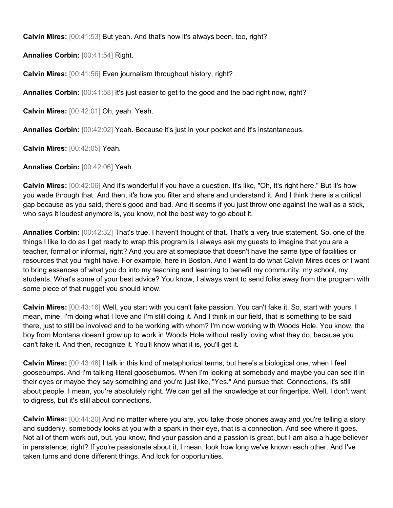**Calvin Mires:** [00:41:53] But yeah. And that's how it's always been, too, right?

**Annalies Corbin:** [00:41:54] Right.

**Calvin Mires:** [00:41:56] Even journalism throughout history, right?

**Annalies Corbin:**  $[00:41:58]$  It's just easier to get to the good and the bad right now, right?

**Calvin Mires:** [00:42:01] Oh, yeah. Yeah.

**Annalies Corbin:** [00:42:02] Yeah. Because it's just in your pocket and it's instantaneous.

**Calvin Mires:** [00:42:05] Yeah.

**Annalies Corbin:** [00:42:06] Yeah.

**Calvin Mires:** [00:42:06] And it's wonderful if you have a question. It's like, "Oh, It's right here." But it's how you wade through that. And then, it's how you filter and share and understand it. And I think there is a critical gap because as you said, there's good and bad. And it seems if you just throw one against the wall as a stick, who says it loudest anymore is, you know, not the best way to go about it.

**Annalies Corbin:** [00:42:32] That's true. I haven't thought of that. That's a very true statement. So, one of the things I like to do as I get ready to wrap this program is I always ask my guests to imagine that you are a teacher, formal or informal, right? And you are at someplace that doesn't have the same type of facilities or resources that you might have. For example, here in Boston. And I want to do what Calvin Mires does or I want to bring essences of what you do into my teaching and learning to benefit my community, my school, my students. What's some of your best advice? You know, I always want to send folks away from the program with some piece of that nugget you should know.

**Calvin Mires:** [00:43:16] Well, you start with you can't fake passion. You can't fake it. So, start with yours. I mean, mine, I'm doing what I love and I'm still doing it. And I think in our field, that is something to be said there, just to still be involved and to be working with whom? I'm now working with Woods Hole. You know, the boy from Montana doesn't grow up to work in Woods Hole without really loving what they do, because you can't fake it. And then, recognize it. You'll know what it is, you'll get it.

**Calvin Mires:** [00:43:48] I talk in this kind of metaphorical terms, but here's a biological one, when I feel goosebumps. And I'm talking literal goosebumps. When I'm looking at somebody and maybe you can see it in their eyes or maybe they say something and you're just like, "Yes." And pursue that. Connections, it's still about people. I mean, you're absolutely right. We can get all the knowledge at our fingertips. Well, I don't want to digress, but it's still about connections.

**Calvin Mires:** [00:44:20] And no matter where you are, you take those phones away and you're telling a story and suddenly, somebody looks at you with a spark in their eye, that is a connection. And see where it goes. Not all of them work out, but, you know, find your passion and a passion is great, but I am also a huge believer in persistence, right? If you're passionate about it, I mean, look how long we've known each other. And I've taken turns and done different things. And look for opportunities.